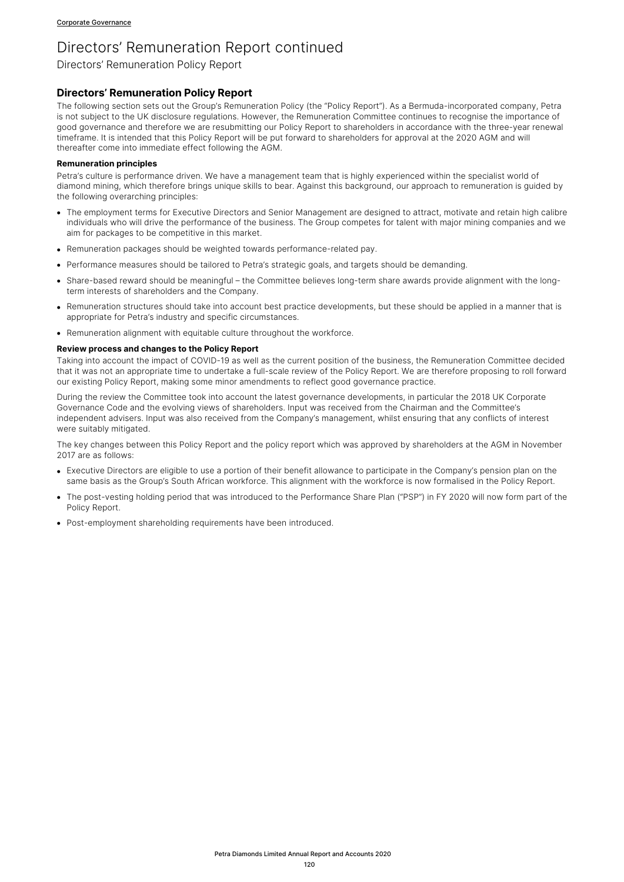Directors' Remuneration Policy Report

## **Directors' Remuneration Policy Report**

The following section sets out the Group's Remuneration Policy (the "Policy Report"). As a Bermuda-incorporated company, Petra is not subject to the UK disclosure regulations. However, the Remuneration Committee continues to recognise the importance of good governance and therefore we are resubmitting our Policy Report to shareholders in accordance with the three-year renewal timeframe. It is intended that this Policy Report will be put forward to shareholders for approval at the 2020 AGM and will thereafter come into immediate effect following the AGM.

### **Remuneration principles**

Petra's culture is performance driven. We have a management team that is highly experienced within the specialist world of diamond mining, which therefore brings unique skills to bear. Against this background, our approach to remuneration is guided by the following overarching principles:

- The employment terms for Executive Directors and Senior Management are designed to attract, motivate and retain high calibre individuals who will drive the performance of the business. The Group competes for talent with major mining companies and we aim for packages to be competitive in this market.
- Remuneration packages should be weighted towards performance-related pay.
- Performance measures should be tailored to Petra's strategic goals, and targets should be demanding.
- Share-based reward should be meaningful the Committee believes long-term share awards provide alignment with the longterm interests of shareholders and the Company.
- Remuneration structures should take into account best practice developments, but these should be applied in a manner that is appropriate for Petra's industry and specific circumstances.
- Remuneration alignment with equitable culture throughout the workforce.

## **Review process and changes to the Policy Report**

Taking into account the impact of COVID-19 as well as the current position of the business, the Remuneration Committee decided that it was not an appropriate time to undertake a full-scale review of the Policy Report. We are therefore proposing to roll forward our existing Policy Report, making some minor amendments to reflect good governance practice.

During the review the Committee took into account the latest governance developments, in particular the 2018 UK Corporate Governance Code and the evolving views of shareholders. Input was received from the Chairman and the Committee's independent advisers. Input was also received from the Company's management, whilst ensuring that any conflicts of interest were suitably mitigated.

The key changes between this Policy Report and the policy report which was approved by shareholders at the AGM in November 2017 are as follows:

- Executive Directors are eligible to use a portion of their benefit allowance to participate in the Company's pension plan on the same basis as the Group's South African workforce. This alignment with the workforce is now formalised in the Policy Report.
- The post-vesting holding period that was introduced to the Performance Share Plan ("PSP") in FY 2020 will now form part of the Policy Report.
- Post-employment shareholding requirements have been introduced.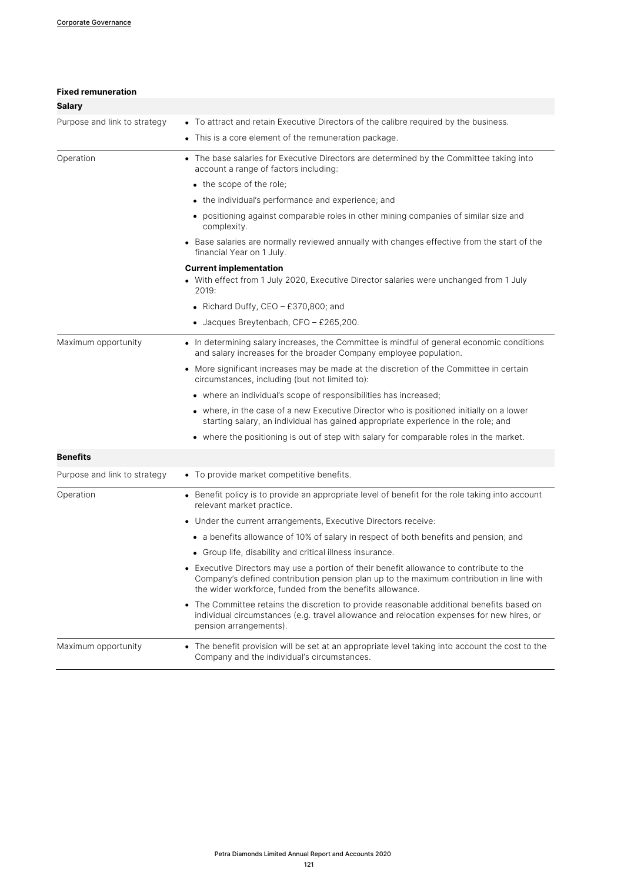| <b>Fixed remuneration</b>    |                                                                                                                                                                                                                                                |
|------------------------------|------------------------------------------------------------------------------------------------------------------------------------------------------------------------------------------------------------------------------------------------|
| <b>Salary</b>                |                                                                                                                                                                                                                                                |
| Purpose and link to strategy | • To attract and retain Executive Directors of the calibre required by the business.                                                                                                                                                           |
|                              | This is a core element of the remuneration package.<br>$\bullet$                                                                                                                                                                               |
| Operation                    | • The base salaries for Executive Directors are determined by the Committee taking into<br>account a range of factors including:                                                                                                               |
|                              | • the scope of the role;                                                                                                                                                                                                                       |
|                              | • the individual's performance and experience; and                                                                                                                                                                                             |
|                              | • positioning against comparable roles in other mining companies of similar size and<br>complexity.                                                                                                                                            |
|                              | • Base salaries are normally reviewed annually with changes effective from the start of the<br>financial Year on 1 July.                                                                                                                       |
|                              | <b>Current implementation</b>                                                                                                                                                                                                                  |
|                              | • With effect from 1 July 2020, Executive Director salaries were unchanged from 1 July<br>2019:                                                                                                                                                |
|                              | • Richard Duffy, CEO - £370,800; and                                                                                                                                                                                                           |
|                              | $\bullet$ Jacques Breytenbach, CFO - £265,200.                                                                                                                                                                                                 |
| Maximum opportunity          | • In determining salary increases, the Committee is mindful of general economic conditions<br>and salary increases for the broader Company employee population.                                                                                |
|                              | More significant increases may be made at the discretion of the Committee in certain<br>$\bullet$<br>circumstances, including (but not limited to):                                                                                            |
|                              | • where an individual's scope of responsibilities has increased;                                                                                                                                                                               |
|                              | • where, in the case of a new Executive Director who is positioned initially on a lower<br>starting salary, an individual has gained appropriate experience in the role; and                                                                   |
|                              | • where the positioning is out of step with salary for comparable roles in the market.                                                                                                                                                         |
| <b>Benefits</b>              |                                                                                                                                                                                                                                                |
| Purpose and link to strategy | • To provide market competitive benefits.                                                                                                                                                                                                      |
| Operation                    | • Benefit policy is to provide an appropriate level of benefit for the role taking into account<br>relevant market practice.                                                                                                                   |
|                              | Under the current arrangements, Executive Directors receive:                                                                                                                                                                                   |
|                              | • a benefits allowance of 10% of salary in respect of both benefits and pension; and                                                                                                                                                           |
|                              | • Group life, disability and critical illness insurance.                                                                                                                                                                                       |
|                              | • Executive Directors may use a portion of their benefit allowance to contribute to the<br>Company's defined contribution pension plan up to the maximum contribution in line with<br>the wider workforce, funded from the benefits allowance. |
|                              | • The Committee retains the discretion to provide reasonable additional benefits based on<br>individual circumstances (e.g. travel allowance and relocation expenses for new hires, or<br>pension arrangements).                               |
| Maximum opportunity          | The benefit provision will be set at an appropriate level taking into account the cost to the<br>Company and the individual's circumstances.                                                                                                   |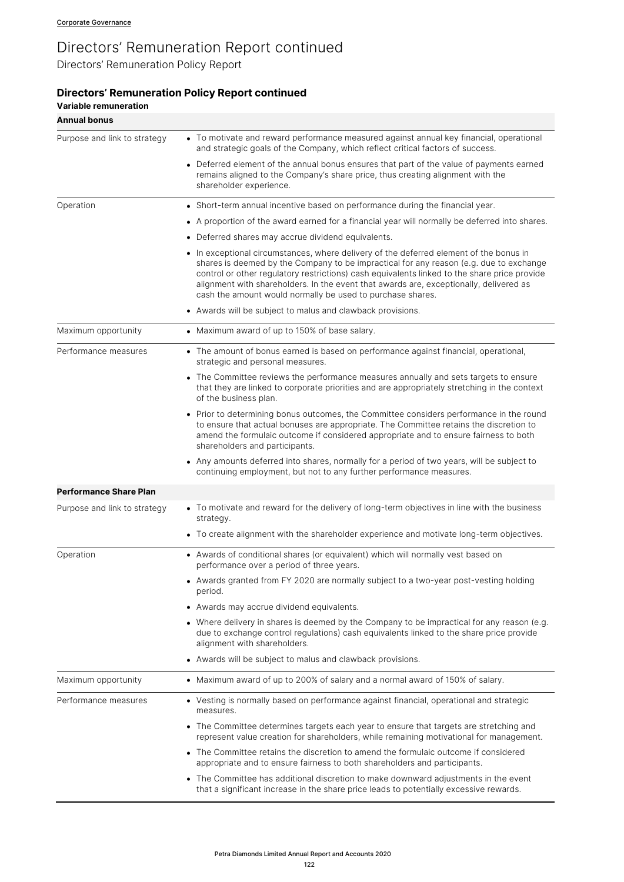Directors' Remuneration Policy Report

# **Directors' Remuneration Policy Report continued**

| <b>Variable remuneration</b>  |                                                                                                                                                                                                                                                                                                                                                                                                                                          |
|-------------------------------|------------------------------------------------------------------------------------------------------------------------------------------------------------------------------------------------------------------------------------------------------------------------------------------------------------------------------------------------------------------------------------------------------------------------------------------|
| <b>Annual bonus</b>           |                                                                                                                                                                                                                                                                                                                                                                                                                                          |
| Purpose and link to strategy  | • To motivate and reward performance measured against annual key financial, operational<br>and strategic goals of the Company, which reflect critical factors of success.                                                                                                                                                                                                                                                                |
|                               | • Deferred element of the annual bonus ensures that part of the value of payments earned<br>remains aligned to the Company's share price, thus creating alignment with the<br>shareholder experience.                                                                                                                                                                                                                                    |
| Operation                     | • Short-term annual incentive based on performance during the financial year.                                                                                                                                                                                                                                                                                                                                                            |
|                               | • A proportion of the award earned for a financial year will normally be deferred into shares.                                                                                                                                                                                                                                                                                                                                           |
|                               | • Deferred shares may accrue dividend equivalents.                                                                                                                                                                                                                                                                                                                                                                                       |
|                               | • In exceptional circumstances, where delivery of the deferred element of the bonus in<br>shares is deemed by the Company to be impractical for any reason (e.g. due to exchange<br>control or other regulatory restrictions) cash equivalents linked to the share price provide<br>alignment with shareholders. In the event that awards are, exceptionally, delivered as<br>cash the amount would normally be used to purchase shares. |
|                               | • Awards will be subject to malus and clawback provisions.                                                                                                                                                                                                                                                                                                                                                                               |
| Maximum opportunity           | • Maximum award of up to 150% of base salary.                                                                                                                                                                                                                                                                                                                                                                                            |
| Performance measures          | • The amount of bonus earned is based on performance against financial, operational,<br>strategic and personal measures.                                                                                                                                                                                                                                                                                                                 |
|                               | • The Committee reviews the performance measures annually and sets targets to ensure<br>that they are linked to corporate priorities and are appropriately stretching in the context<br>of the business plan.                                                                                                                                                                                                                            |
|                               | • Prior to determining bonus outcomes, the Committee considers performance in the round<br>to ensure that actual bonuses are appropriate. The Committee retains the discretion to<br>amend the formulaic outcome if considered appropriate and to ensure fairness to both<br>shareholders and participants.                                                                                                                              |
|                               | Any amounts deferred into shares, normally for a period of two years, will be subject to<br>continuing employment, but not to any further performance measures.                                                                                                                                                                                                                                                                          |
| <b>Performance Share Plan</b> |                                                                                                                                                                                                                                                                                                                                                                                                                                          |
| Purpose and link to strategy  | • To motivate and reward for the delivery of long-term objectives in line with the business<br>strategy.                                                                                                                                                                                                                                                                                                                                 |
|                               | • To create alignment with the shareholder experience and motivate long-term objectives.                                                                                                                                                                                                                                                                                                                                                 |
| Operation                     | • Awards of conditional shares (or equivalent) which will normally vest based on<br>performance over a period of three years.                                                                                                                                                                                                                                                                                                            |
|                               | • Awards granted from FY 2020 are normally subject to a two-year post-vesting holding<br>period.                                                                                                                                                                                                                                                                                                                                         |
|                               | Awards may accrue dividend equivalents.<br>$\bullet$                                                                                                                                                                                                                                                                                                                                                                                     |
|                               | • Where delivery in shares is deemed by the Company to be impractical for any reason (e.g.<br>due to exchange control regulations) cash equivalents linked to the share price provide<br>alignment with shareholders.                                                                                                                                                                                                                    |
|                               | • Awards will be subject to malus and clawback provisions.                                                                                                                                                                                                                                                                                                                                                                               |
| Maximum opportunity           | • Maximum award of up to 200% of salary and a normal award of 150% of salary.                                                                                                                                                                                                                                                                                                                                                            |
| Performance measures          | • Vesting is normally based on performance against financial, operational and strategic<br>measures.                                                                                                                                                                                                                                                                                                                                     |
|                               | • The Committee determines targets each year to ensure that targets are stretching and<br>represent value creation for shareholders, while remaining motivational for management.                                                                                                                                                                                                                                                        |
|                               | • The Committee retains the discretion to amend the formulaic outcome if considered<br>appropriate and to ensure fairness to both shareholders and participants.                                                                                                                                                                                                                                                                         |
|                               | • The Committee has additional discretion to make downward adjustments in the event<br>that a significant increase in the share price leads to potentially excessive rewards.                                                                                                                                                                                                                                                            |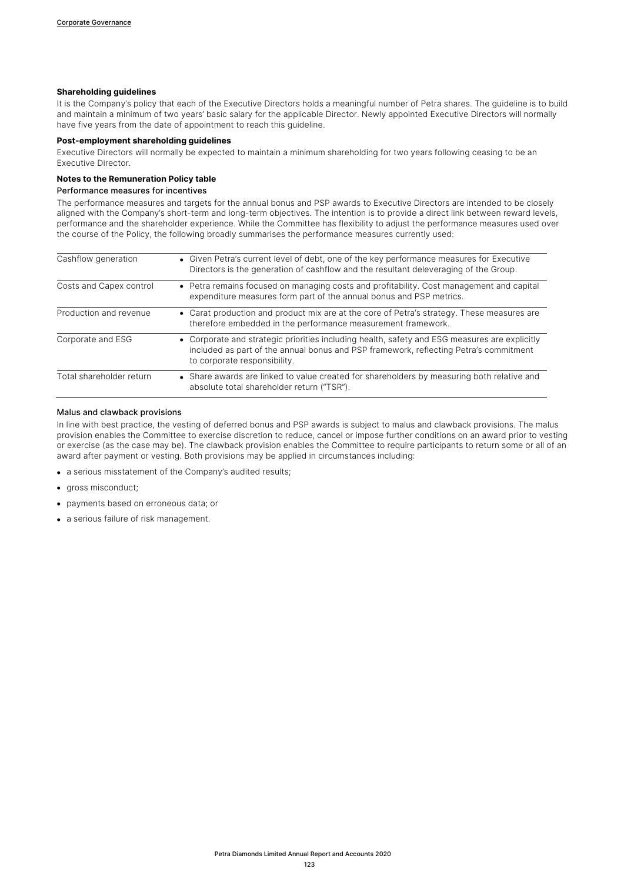## **Shareholding guidelines**

It is the Company's policy that each of the Executive Directors holds a meaningful number of Petra shares. The quideline is to build and maintain a minimum of two years' basic salary for the applicable Director. Newly appointed Executive Directors will normally have five years from the date of appointment to reach this guideline.

### **Post-employment shareholding guidelines**

Executive Directors will normally be expected to maintain a minimum shareholding for two years following ceasing to be an Executive Director.

### **Notes to the Remuneration Policy table**

### Performance measures for incentives

The performance measures and targets for the annual bonus and PSP awards to Executive Directors are intended to be closely aligned with the Company's short-term and long-term objectives. The intention is to provide a direct link between reward levels, performance and the shareholder experience. While the Committee has flexibility to adjust the performance measures used over the course of the Policy, the following broadly summarises the performance measures currently used:

| Cashflow generation      | • Given Petra's current level of debt, one of the key performance measures for Executive<br>Directors is the generation of cashflow and the resultant deleveraging of the Group.                                       |
|--------------------------|------------------------------------------------------------------------------------------------------------------------------------------------------------------------------------------------------------------------|
| Costs and Capex control  | • Petra remains focused on managing costs and profitability. Cost management and capital<br>expenditure measures form part of the annual bonus and PSP metrics.                                                        |
| Production and revenue   | • Carat production and product mix are at the core of Petra's strategy. These measures are<br>therefore embedded in the performance measurement framework.                                                             |
| Corporate and ESG        | • Corporate and strategic priorities including health, safety and ESG measures are explicitly<br>included as part of the annual bonus and PSP framework, reflecting Petra's commitment<br>to corporate responsibility. |
| Total shareholder return | • Share awards are linked to value created for shareholders by measuring both relative and<br>absolute total shareholder return ("TSR").                                                                               |

### Malus and clawback provisions

In line with best practice, the vesting of deferred bonus and PSP awards is subject to malus and clawback provisions. The malus provision enables the Committee to exercise discretion to reduce, cancel or impose further conditions on an award prior to vesting or exercise (as the case may be). The clawback provision enables the Committee to require participants to return some or all of an award after payment or vesting. Both provisions may be applied in circumstances including:

- a serious misstatement of the Company's audited results;
- gross misconduct;
- payments based on erroneous data; or
- a serious failure of risk management.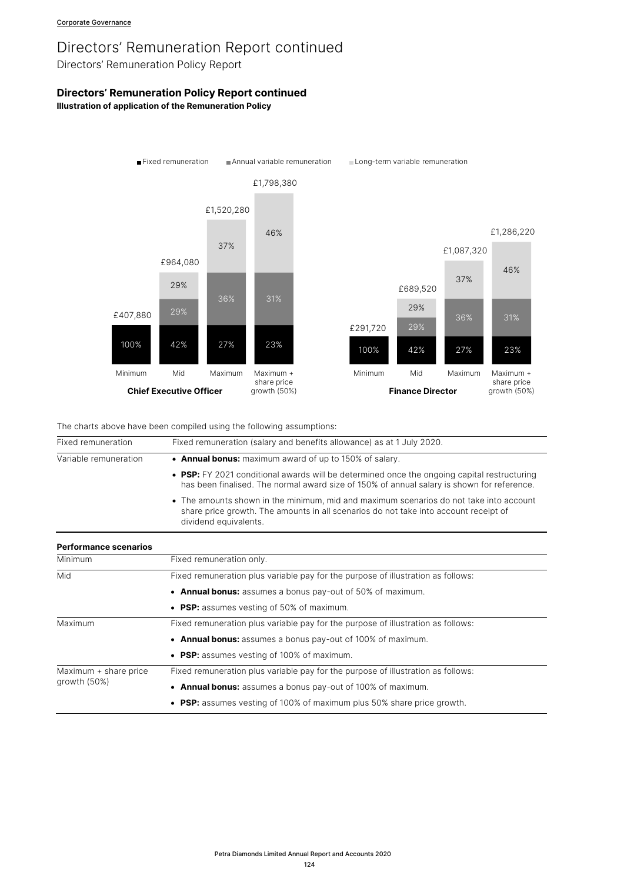Directors' Remuneration Policy Report

# **Directors' Remuneration Policy Report continued**

**Illustration of application of the Remuneration Policy**



The charts above have been compiled using the following assumptions:

| Fixed remuneration (salary and benefits allowance) as at 1 July 2020.                                                                                                                                   |  |
|---------------------------------------------------------------------------------------------------------------------------------------------------------------------------------------------------------|--|
| • Annual bonus: maximum award of up to 150% of salary.                                                                                                                                                  |  |
| • PSP: FY 2021 conditional awards will be determined once the ongoing capital restructuring<br>has been finalised. The normal award size of 150% of annual salary is shown for reference.               |  |
| • The amounts shown in the minimum, mid and maximum scenarios do not take into account<br>share price growth. The amounts in all scenarios do not take into account receipt of<br>dividend equivalents. |  |
|                                                                                                                                                                                                         |  |
| Fixed remuneration only.                                                                                                                                                                                |  |
| Fixed remuneration plus variable pay for the purpose of illustration as follows:                                                                                                                        |  |
| • Annual bonus: assumes a bonus pay-out of 50% of maximum.                                                                                                                                              |  |
| • PSP: assumes vesting of 50% of maximum.                                                                                                                                                               |  |
| Fixed remuneration plus variable pay for the purpose of illustration as follows:                                                                                                                        |  |
| • Annual bonus: assumes a bonus pay-out of 100% of maximum.                                                                                                                                             |  |
| • PSP: assumes vesting of 100% of maximum.                                                                                                                                                              |  |
| Fixed remuneration plus variable pay for the purpose of illustration as follows:                                                                                                                        |  |
| • Annual bonus: assumes a bonus pay-out of 100% of maximum.                                                                                                                                             |  |
| • PSP: assumes vesting of 100% of maximum plus 50% share price growth.                                                                                                                                  |  |
|                                                                                                                                                                                                         |  |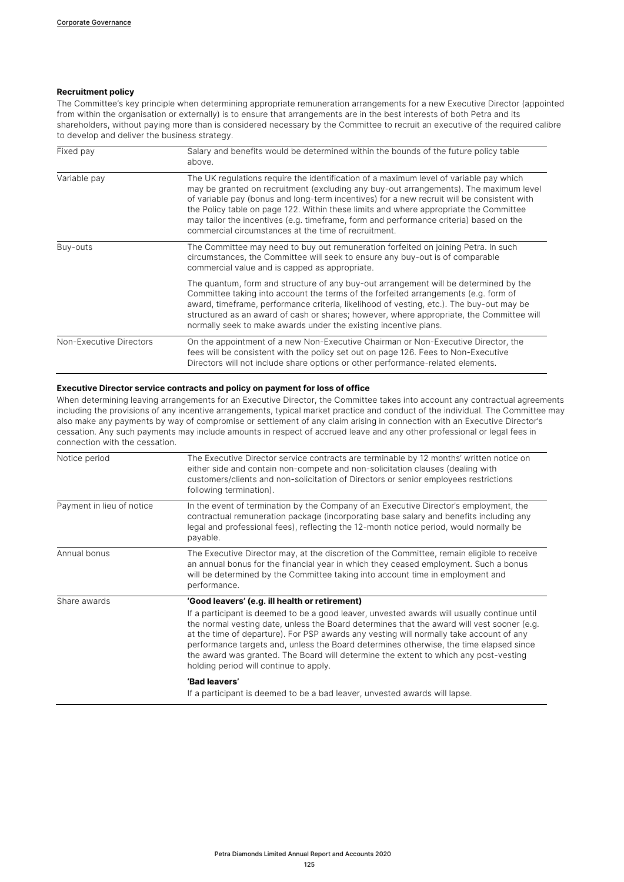## **Recruitment policy**

The Committee's key principle when determining appropriate remuneration arrangements for a new Executive Director (appointed from within the organisation or externally) is to ensure that arrangements are in the best interests of both Petra and its shareholders, without paying more than is considered necessary by the Committee to recruit an executive of the required calibre to develop and deliver the business strategy.

| Fixed pay               | Salary and benefits would be determined within the bounds of the future policy table<br>above.                                                                                                                                                                                                                                                                                                                                                                                                                           |  |
|-------------------------|--------------------------------------------------------------------------------------------------------------------------------------------------------------------------------------------------------------------------------------------------------------------------------------------------------------------------------------------------------------------------------------------------------------------------------------------------------------------------------------------------------------------------|--|
| Variable pay            | The UK regulations reguire the identification of a maximum level of variable pay which<br>may be granted on recruitment (excluding any buy-out arrangements). The maximum level<br>of variable pay (bonus and long-term incentives) for a new recruit will be consistent with<br>the Policy table on page 122. Within these limits and where appropriate the Committee<br>may tailor the incentives (e.g. timeframe, form and performance criteria) based on the<br>commercial circumstances at the time of recruitment. |  |
| Buy-outs                | The Committee may need to buy out remuneration forfeited on joining Petra. In such<br>circumstances, the Committee will seek to ensure any buy-out is of comparable<br>commercial value and is capped as appropriate.                                                                                                                                                                                                                                                                                                    |  |
|                         | The quantum, form and structure of any buy-out arrangement will be determined by the<br>Committee taking into account the terms of the forfeited arrangements (e.g. form of<br>award, timeframe, performance criteria, likelihood of vesting, etc.). The buy-out may be<br>structured as an award of cash or shares; however, where appropriate, the Committee will<br>normally seek to make awards under the existing incentive plans.                                                                                  |  |
| Non-Executive Directors | On the appointment of a new Non-Executive Chairman or Non-Executive Director, the<br>fees will be consistent with the policy set out on page 126. Fees to Non-Executive<br>Directors will not include share options or other performance-related elements.                                                                                                                                                                                                                                                               |  |

### **Executive Director service contracts and policy on payment for loss of office**

When determining leaving arrangements for an Executive Director, the Committee takes into account any contractual agreements including the provisions of any incentive arrangements, typical market practice and conduct of the individual. The Committee may also make any payments by way of compromise or settlement of any claim arising in connection with an Executive Director's cessation. Any such payments may include amounts in respect of accrued leave and any other professional or legal fees in connection with the cessation.

| Notice period             | The Executive Director service contracts are terminable by 12 months' written notice on<br>either side and contain non-compete and non-solicitation clauses (dealing with<br>customers/clients and non-solicitation of Directors or senior employees restrictions<br>following termination).                                                                                                                                                                                                                                                                       |
|---------------------------|--------------------------------------------------------------------------------------------------------------------------------------------------------------------------------------------------------------------------------------------------------------------------------------------------------------------------------------------------------------------------------------------------------------------------------------------------------------------------------------------------------------------------------------------------------------------|
| Payment in lieu of notice | In the event of termination by the Company of an Executive Director's employment, the<br>contractual remuneration package (incorporating base salary and benefits including any<br>legal and professional fees), reflecting the 12-month notice period, would normally be<br>payable.                                                                                                                                                                                                                                                                              |
| Annual bonus              | The Executive Director may, at the discretion of the Committee, remain eligible to receive<br>an annual bonus for the financial year in which they ceased employment. Such a bonus<br>will be determined by the Committee taking into account time in employment and<br>performance.                                                                                                                                                                                                                                                                               |
| Share awards              | 'Good leavers' (e.g. ill health or retirement)<br>If a participant is deemed to be a good leaver, unvested awards will usually continue until<br>the normal vesting date, unless the Board determines that the award will vest sooner (e.g.<br>at the time of departure). For PSP awards any vesting will normally take account of any<br>performance targets and, unless the Board determines otherwise, the time elapsed since<br>the award was granted. The Board will determine the extent to which any post-vesting<br>holding period will continue to apply. |
|                           | 'Bad leavers'<br>If a participant is deemed to be a bad leaver, unvested awards will lapse.                                                                                                                                                                                                                                                                                                                                                                                                                                                                        |